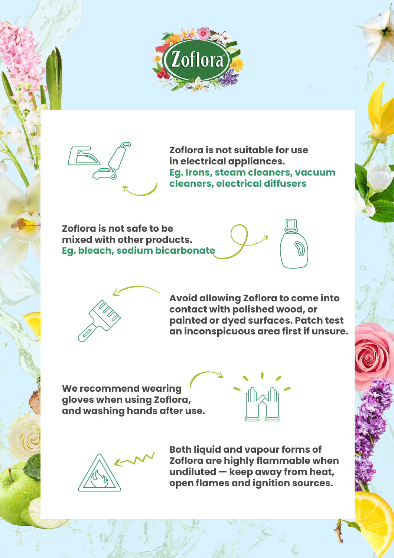



**Zoflora is not suitable for use in electrical appliances. Eg. Irons, steam cleaners, vacuum cleaners, electrical diffusers**

**Zoflora is not safe to be mixed with other products. Eg. bleach, sodium bicarbonate**





**Avoid allowing Zoflora to come into contact with polished wood, or painted or dyed surfaces. Patch test an inconspicuous area first if unsure.**

**We recommend wearing gloves when using Zoflora, and washing hands after use.**





**Both liquid and vapour forms of Zoflora are highly flammable when undiluted — keep away from heat, open flames and ignition sources.**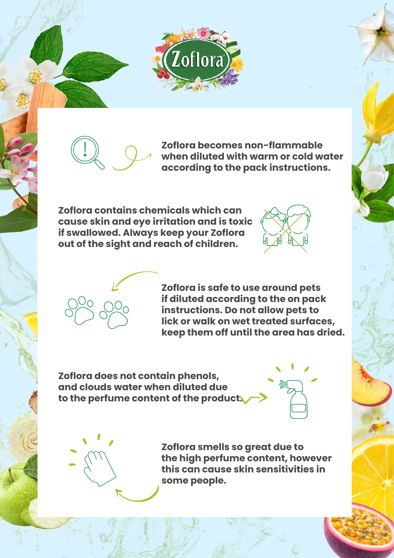



**Zoflora becomes non-flammable when diluted with warm or cold water according to the pack instructions.**

**Zoflora contains chemicals which can cause skin and eye irritation and is toxic if swallowed. Always keep your Zoflora out of the sight and reach of children.**





**Zoflora is safe to use around pets if diluted according to the on pack instructions. Do not allow pets to lick or walk on wet treated surfaces, keep them off until the area has dried.**

**Zoflora does not contain phenols, and clouds water when diluted due to the perfume content of the product.**





**Zoflora smells so great due to the high perfume content, however this can cause skin sensitivities in some people.**